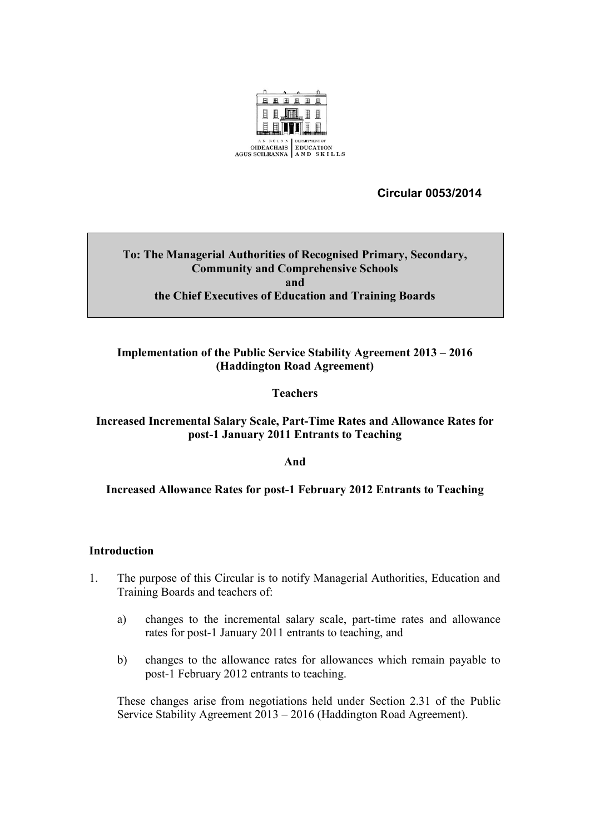

 **Circular 0053/2014**

#### **To: The Managerial Authorities of Recognised Primary, Secondary, Community and Comprehensive Schools and the Chief Executives of Education and Training Boards**

### **Implementation of the Public Service Stability Agreement 2013 – 2016 (Haddington Road Agreement)**

### **Teachers**

#### **Increased Incremental Salary Scale, Part-Time Rates and Allowance Rates for post-1 January 2011 Entrants to Teaching**

**And**

#### **Increased Allowance Rates for post-1 February 2012 Entrants to Teaching**

#### **Introduction**

- 1. The purpose of this Circular is to notify Managerial Authorities, Education and Training Boards and teachers of:
	- a) changes to the incremental salary scale, part-time rates and allowance rates for post-1 January 2011 entrants to teaching, and
	- b) changes to the allowance rates for allowances which remain payable to post-1 February 2012 entrants to teaching.

These changes arise from negotiations held under Section 2.31 of the Public Service Stability Agreement 2013 – 2016 (Haddington Road Agreement).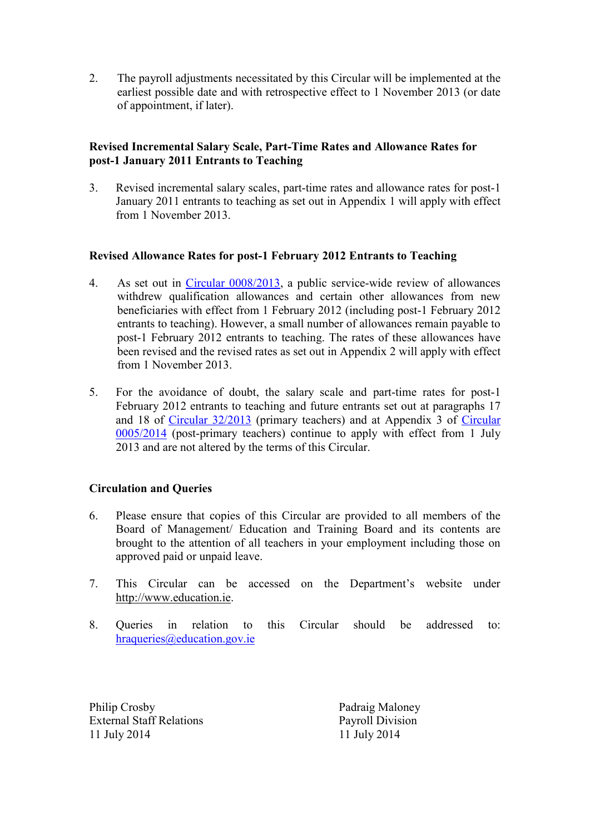2. The payroll adjustments necessitated by this Circular will be implemented at the earliest possible date and with retrospective effect to 1 November 2013 (or date of appointment, if later).

#### **Revised Incremental Salary Scale, Part-Time Rates and Allowance Rates for post-1 January 2011 Entrants to Teaching**

3. Revised incremental salary scales, part-time rates and allowance rates for post-1 January 2011 entrants to teaching as set out in Appendix 1 will apply with effect from 1 November 2013.

#### **Revised Allowance Rates for post-1 February 2012 Entrants to Teaching**

- 4. As set out in [Circular 0008/2013,](http://www.education.ie/en/Circulars-and-Forms/Active-Circulars/cl0008_2013.pdf) a public service-wide review of allowances withdrew qualification allowances and certain other allowances from new beneficiaries with effect from 1 February 2012 (including post-1 February 2012 entrants to teaching). However, a small number of allowances remain payable to post-1 February 2012 entrants to teaching. The rates of these allowances have been revised and the revised rates as set out in Appendix 2 will apply with effect from 1 November 2013.
- 5. For the avoidance of doubt, the salary scale and part-time rates for post-1 February 2012 entrants to teaching and future entrants set out at paragraphs 17 and 18 of [Circular 32/2013](http://www.education.ie/en/Circulars-and-Forms/Active-Circulars/cl0032_2013.pdf) (primary teachers) and at Appendix 3 of [Circular](http://www.education.ie/en/Circulars-and-Forms/Active-Circulars/cl0005_2014.pdf)  [0005/2014](http://www.education.ie/en/Circulars-and-Forms/Active-Circulars/cl0005_2014.pdf) (post-primary teachers) continue to apply with effect from 1 July 2013 and are not altered by the terms of this Circular.

#### **Circulation and Queries**

- 6. Please ensure that copies of this Circular are provided to all members of the Board of Management/ Education and Training Board and its contents are brought to the attention of all teachers in your employment including those on approved paid or unpaid leave.
- 7. This Circular can be accessed on the Department's website under [http://www.education.ie.](http://www.education.ie/)
- 8. Queries in relation to this Circular should be addressed to: [hraqueries@education.gov.ie](mailto:hraqueries@education.gov.ie)

Philip Crosby Padraig Maloney External Staff Relations Payroll Division 11 July 2014 11 July 2014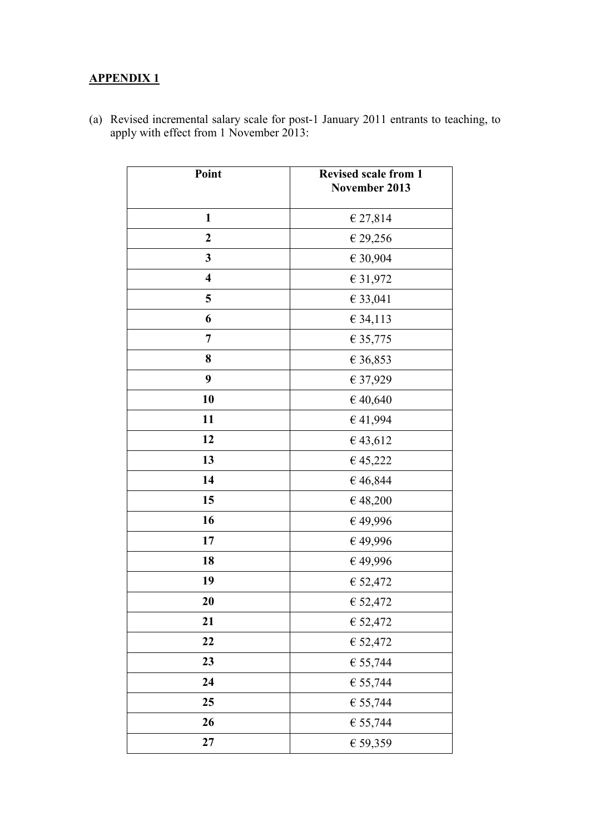## **APPENDIX 1**

| Point                   | <b>Revised scale from 1</b><br>November 2013 |
|-------------------------|----------------------------------------------|
| $\mathbf{1}$            | € 27,814                                     |
| $\boldsymbol{2}$        | $\in$ 29,256                                 |
| 3                       | € 30,904                                     |
| $\overline{\mathbf{4}}$ | € 31,972                                     |
| 5                       | € 33,041                                     |
| 6                       | € 34,113                                     |
| 7                       | € 35,775                                     |
| 8                       | € 36,853                                     |
| 9                       | € 37,929                                     |
| 10                      | €40,640                                      |
| 11                      | €41,994                                      |
| 12                      | €43,612                                      |
| 13                      | €45,222                                      |
| 14                      | €46,844                                      |
| 15                      | €48,200                                      |
| 16                      | €49,996                                      |
| 17                      | €49,996                                      |
| 18                      | $\in$ 49,996                                 |
| 19                      | € 52,472                                     |
| 20                      | € 52,472                                     |
| 21                      | € 52,472                                     |
| 22                      | € 52,472                                     |
| 23                      | € 55,744                                     |
| 24                      | € 55,744                                     |
| 25                      | € 55,744                                     |
| 26                      | € 55,744                                     |
| 27                      | € 59,359                                     |

(a) Revised incremental salary scale for post-1 January 2011 entrants to teaching, to apply with effect from 1 November 2013: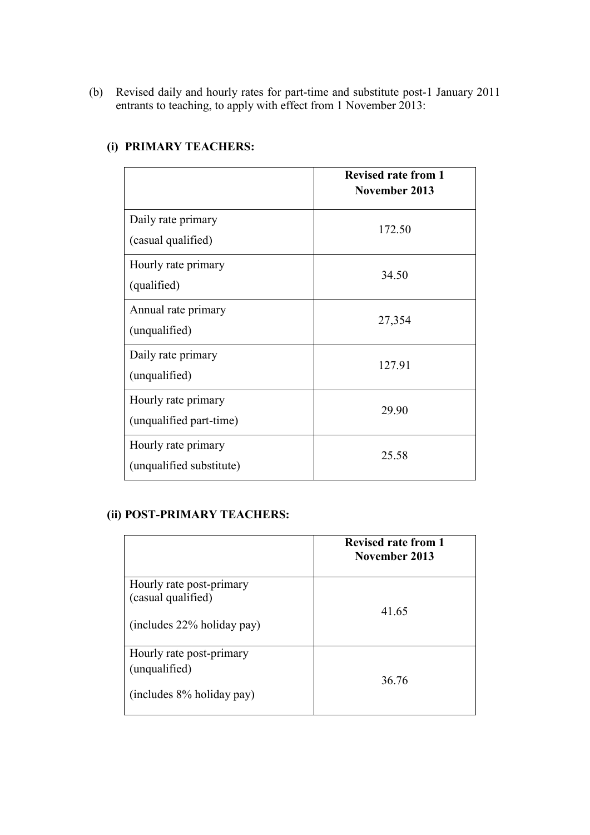(b) Revised daily and hourly rates for part-time and substitute post-1 January 2011 entrants to teaching, to apply with effect from 1 November 2013:

|                                                 | <b>Revised rate from 1</b><br>November 2013 |
|-------------------------------------------------|---------------------------------------------|
| Daily rate primary<br>(casual qualified)        | 172.50                                      |
| Hourly rate primary<br>(qualified)              | 34.50                                       |
| Annual rate primary<br>(unqualified)            | 27,354                                      |
| Daily rate primary<br>(unqualified)             | 127.91                                      |
| Hourly rate primary<br>(unqualified part-time)  | 29.90                                       |
| Hourly rate primary<br>(unqualified substitute) | 25.58                                       |

## **(i) PRIMARY TEACHERS:**

### **(ii) POST-PRIMARY TEACHERS:**

|                                                                              | <b>Revised rate from 1</b><br>November 2013 |
|------------------------------------------------------------------------------|---------------------------------------------|
| Hourly rate post-primary<br>(casual qualified)<br>(includes 22% holiday pay) | 41.65                                       |
| Hourly rate post-primary<br>(unqualified)<br>(includes 8% holiday pay)       | 36.76                                       |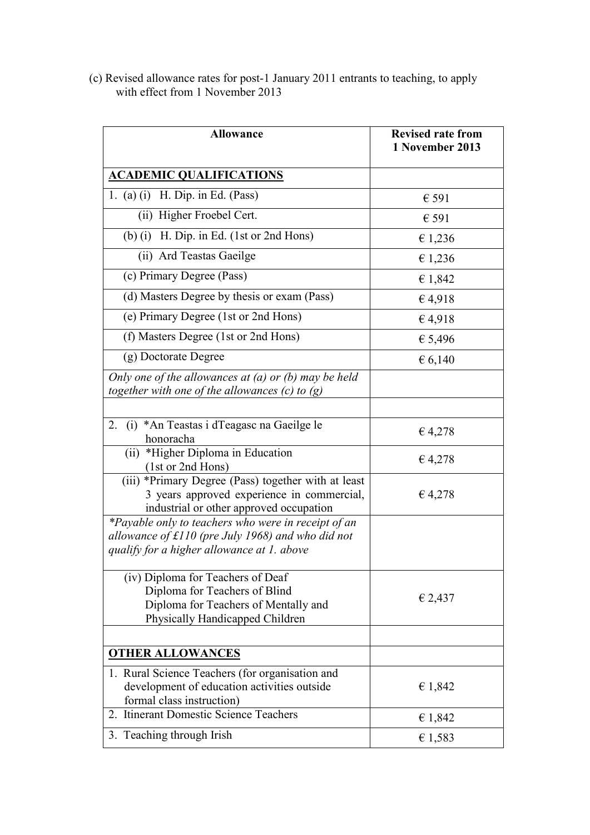(c) Revised allowance rates for post-1 January 2011 entrants to teaching, to apply with effect from 1 November 2013

| <b>Allowance</b>                                                                                                                                         | <b>Revised rate from</b><br>1 November 2013 |
|----------------------------------------------------------------------------------------------------------------------------------------------------------|---------------------------------------------|
| <b>ACADEMIC QUALIFICATIONS</b>                                                                                                                           |                                             |
| 1. (a) (i) H. Dip. in Ed. (Pass)                                                                                                                         | € 591                                       |
| (ii) Higher Froebel Cert.                                                                                                                                | € 591                                       |
| (b) (i) H. Dip. in Ed. (1st or 2nd Hons)                                                                                                                 | € 1,236                                     |
| (ii) Ard Teastas Gaeilge                                                                                                                                 | € 1,236                                     |
| (c) Primary Degree (Pass)                                                                                                                                | € 1,842                                     |
| (d) Masters Degree by thesis or exam (Pass)                                                                                                              | €4,918                                      |
| (e) Primary Degree (1st or 2nd Hons)                                                                                                                     | €4,918                                      |
| (f) Masters Degree (1st or 2nd Hons)                                                                                                                     | € 5,496                                     |
| (g) Doctorate Degree                                                                                                                                     | € 6,140                                     |
| Only one of the allowances at $(a)$ or $(b)$ may be held<br>together with one of the allowances $(c)$ to $(g)$                                           |                                             |
|                                                                                                                                                          |                                             |
| (i) *An Teastas i dTeagasc na Gaeilge le<br>2.<br>honoracha                                                                                              | € 4,278                                     |
| (ii) *Higher Diploma in Education<br>(1st or 2nd Hons)                                                                                                   | € 4,278                                     |
| (iii) *Primary Degree (Pass) together with at least<br>3 years approved experience in commercial,<br>industrial or other approved occupation             | € 4,278                                     |
| *Payable only to teachers who were in receipt of an<br>allowance of $f110$ (pre July 1968) and who did not<br>qualify for a higher allowance at 1. above |                                             |
| (iv) Diploma for Teachers of Deaf<br>Diploma for Teachers of Blind<br>Diploma for Teachers of Mentally and<br>Physically Handicapped Children            | € 2,437                                     |
|                                                                                                                                                          |                                             |
| <b>OTHER ALLOWANCES</b>                                                                                                                                  |                                             |
| 1. Rural Science Teachers (for organisation and<br>development of education activities outside<br>formal class instruction)                              | € 1,842                                     |
| 2. Itinerant Domestic Science Teachers                                                                                                                   | € 1,842                                     |
| 3. Teaching through Irish                                                                                                                                | € 1,583                                     |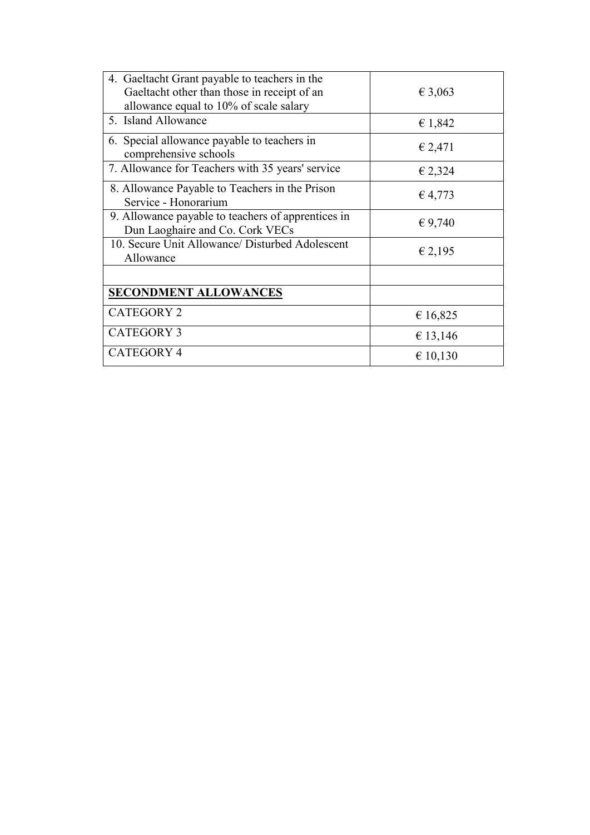| 4. Gaeltacht Grant payable to teachers in the<br>Gaeltacht other than those in receipt of an<br>allowance equal to 10% of scale salary | € 3,063     |
|----------------------------------------------------------------------------------------------------------------------------------------|-------------|
| 5. Island Allowance                                                                                                                    | € 1,842     |
| 6. Special allowance payable to teachers in<br>comprehensive schools                                                                   | € 2,471     |
| 7. Allowance for Teachers with 35 years' service                                                                                       | € 2,324     |
| 8. Allowance Payable to Teachers in the Prison<br>Service - Honorarium                                                                 | $\in$ 4,773 |
| 9. Allowance payable to teachers of apprentices in<br>Dun Laoghaire and Co. Cork VECs                                                  | € 9,740     |
| 10. Secure Unit Allowance/ Disturbed Adolescent<br>Allowance                                                                           | € 2,195     |
|                                                                                                                                        |             |
| <b>SECONDMENT ALLOWANCES</b>                                                                                                           |             |
| <b>CATEGORY 2</b>                                                                                                                      | € 16,825    |
| <b>CATEGORY 3</b>                                                                                                                      | € 13,146    |
| <b>CATEGORY 4</b>                                                                                                                      | € 10,130    |